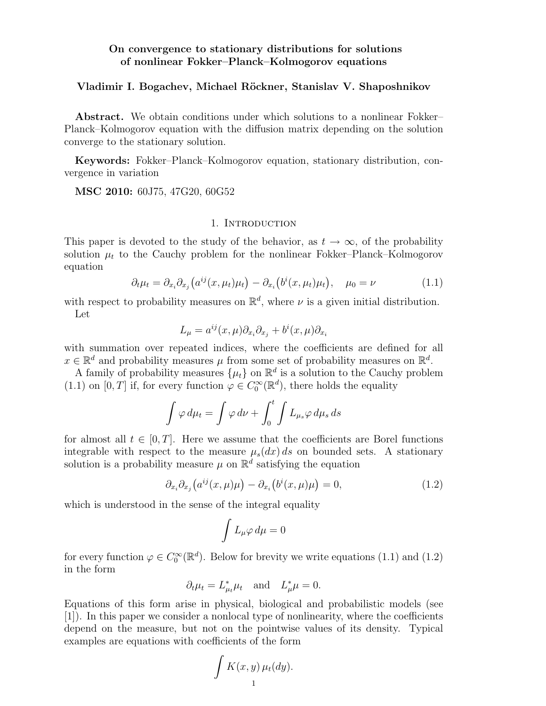## On convergence to stationary distributions for solutions of nonlinear Fokker–Planck–Kolmogorov equations

## Vladimir I. Bogachev, Michael Röckner, Stanislav V. Shaposhnikov

Abstract. We obtain conditions under which solutions to a nonlinear Fokker– Planck–Kolmogorov equation with the diffusion matrix depending on the solution converge to the stationary solution.

Keywords: Fokker–Planck–Kolmogorov equation, stationary distribution, convergence in variation

MSC 2010: 60J75, 47G20, 60G52

## 1. Introduction

This paper is devoted to the study of the behavior, as  $t \to \infty$ , of the probability solution  $\mu_t$  to the Cauchy problem for the nonlinear Fokker–Planck–Kolmogorov equation

$$
\partial_t \mu_t = \partial_{x_i} \partial_{x_j} \left( a^{ij}(x, \mu_t) \mu_t \right) - \partial_{x_i} \left( b^i(x, \mu_t) \mu_t \right), \quad \mu_0 = \nu \tag{1.1}
$$

with respect to probability measures on  $\mathbb{R}^d$ , where  $\nu$  is a given initial distribution. Let

$$
L_{\mu} = a^{ij}(x, \mu) \partial_{x_i} \partial_{x_j} + b^i(x, \mu) \partial_{x_i}
$$

with summation over repeated indices, where the coefficients are defined for all  $x \in \mathbb{R}^d$  and probability measures  $\mu$  from some set of probability measures on  $\mathbb{R}^d$ .

A family of probability measures  $\{\mu_t\}$  on  $\mathbb{R}^d$  is a solution to the Cauchy problem (1.1) on [0, T] if, for every function  $\varphi \in C_0^{\infty}(\mathbb{R}^d)$ , there holds the equality

$$
\int \varphi \, d\mu_t = \int \varphi \, d\nu + \int_0^t \int L_{\mu_s} \varphi \, d\mu_s \, ds
$$

for almost all  $t \in [0, T]$ . Here we assume that the coefficients are Borel functions integrable with respect to the measure  $\mu_s(dx) ds$  on bounded sets. A stationary solution is a probability measure  $\mu$  on  $\mathbb{R}^d$  satisfying the equation

$$
\partial_{x_i}\partial_{x_j}\big(a^{ij}(x,\mu)\mu\big) - \partial_{x_i}\big(b^i(x,\mu)\mu\big) = 0,\tag{1.2}
$$

which is understood in the sense of the integral equality

$$
\int L_\mu \varphi \, d\mu = 0
$$

for every function  $\varphi \in C_0^{\infty}(\mathbb{R}^d)$ . Below for brevity we write equations (1.1) and (1.2) in the form

$$
\partial_t \mu_t = L^*_{\mu_t} \mu_t \quad \text{and} \quad L^*_{\mu} \mu = 0.
$$

Equations of this form arise in physical, biological and probabilistic models (see [1]). In this paper we consider a nonlocal type of nonlinearity, where the coefficients depend on the measure, but not on the pointwise values of its density. Typical examples are equations with coefficients of the form

$$
\int K(x,y)\,\mu_t(dy).
$$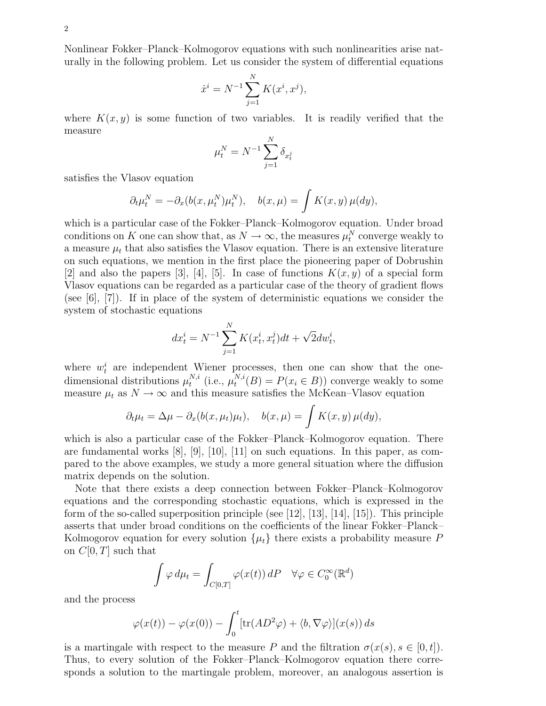Nonlinear Fokker–Planck–Kolmogorov equations with such nonlinearities arise naturally in the following problem. Let us consider the system of differential equations

$$
\dot{x}^i = N^{-1} \sum_{j=1}^N K(x^i, x^j),
$$

where  $K(x, y)$  is some function of two variables. It is readily verified that the measure

$$
\mu_t^N = N^{-1} \sum_{j=1}^N \delta_{x_t^j}
$$

satisfies the Vlasov equation

$$
\partial_t \mu_t^N = -\partial_x (b(x, \mu_t^N)\mu_t^N), \quad b(x, \mu) = \int K(x, y) \,\mu(dy),
$$

which is a particular case of the Fokker–Planck–Kolmogorov equation. Under broad conditions on K one can show that, as  $N \to \infty$ , the measures  $\mu_t^N$  converge weakly to a measure  $\mu_t$  that also satisfies the Vlasov equation. There is an extensive literature on such equations, we mention in the first place the pioneering paper of Dobrushin [2] and also the papers [3], [4], [5]. In case of functions  $K(x, y)$  of a special form Vlasov equations can be regarded as a particular case of the theory of gradient flows (see  $[6]$ ,  $[7]$ ). If in place of the system of deterministic equations we consider the system of stochastic equations

$$
dx_t^i = N^{-1} \sum_{j=1}^N K(x_t^i, x_t^j) dt + \sqrt{2} dw_t^i,
$$

where  $w_t^i$  are independent Wiener processes, then one can show that the onedimensional distributions  $\mu_t^{N,i}$  $_{t}^{N,i}$  (i.e.,  $\mu_{t}^{N,i}$  $t^{N,i}(B) = P(x_i \in B)$  converge weakly to some measure  $\mu_t$  as  $N \to \infty$  and this measure satisfies the McKean–Vlasov equation

$$
\partial_t \mu_t = \Delta \mu - \partial_x (b(x, \mu_t) \mu_t), \quad b(x, \mu) = \int K(x, y) \,\mu(dy),
$$

which is also a particular case of the Fokker–Planck–Kolmogorov equation. There are fundamental works  $[8]$ ,  $[9]$ ,  $[10]$ ,  $[11]$  on such equations. In this paper, as compared to the above examples, we study a more general situation where the diffusion matrix depends on the solution.

Note that there exists a deep connection between Fokker–Planck–Kolmogorov equations and the corresponding stochastic equations, which is expressed in the form of the so-called superposition principle (see [12], [13], [14], [15]). This principle asserts that under broad conditions on the coefficients of the linear Fokker–Planck– Kolmogorov equation for every solution  $\{\mu_t\}$  there exists a probability measure P on  $C[0, T]$  such that

$$
\int \varphi \, d\mu_t = \int_{C[0,T]} \varphi(x(t)) \, dP \quad \forall \varphi \in C_0^{\infty}(\mathbb{R}^d)
$$

and the process

$$
\varphi(x(t)) - \varphi(x(0)) - \int_0^t [\text{tr}(AD^2\varphi) + \langle b, \nabla \varphi \rangle](x(s)) ds
$$

is a martingale with respect to the measure P and the filtration  $\sigma(x(s), s \in [0, t])$ . Thus, to every solution of the Fokker–Planck–Kolmogorov equation there corresponds a solution to the martingale problem, moreover, an analogous assertion is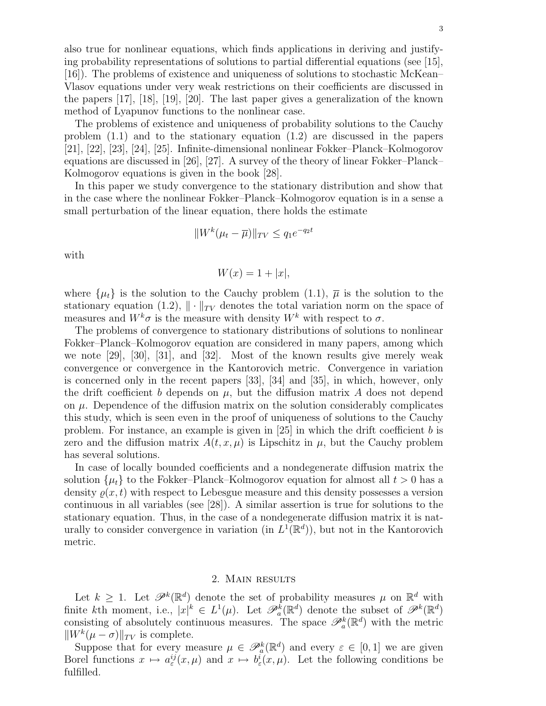also true for nonlinear equations, which finds applications in deriving and justifying probability representations of solutions to partial differential equations (see [15], [16]). The problems of existence and uniqueness of solutions to stochastic McKean– Vlasov equations under very weak restrictions on their coefficients are discussed in the papers [17], [18], [19], [20]. The last paper gives a generalization of the known method of Lyapunov functions to the nonlinear case.

The problems of existence and uniqueness of probability solutions to the Cauchy problem (1.1) and to the stationary equation (1.2) are discussed in the papers [21], [22], [23], [24], [25]. Infinite-dimensional nonlinear Fokker–Planck–Kolmogorov equations are discussed in [26], [27]. A survey of the theory of linear Fokker–Planck– Kolmogorov equations is given in the book [28].

In this paper we study convergence to the stationary distribution and show that in the case where the nonlinear Fokker–Planck–Kolmogorov equation is in a sense a small perturbation of the linear equation, there holds the estimate

$$
||W^k(\mu_t - \overline{\mu})||_{TV} \le q_1 e^{-q_2 t}
$$

with

$$
W(x) = 1 + |x|,
$$

where  $\{\mu_t\}$  is the solution to the Cauchy problem (1.1),  $\overline{\mu}$  is the solution to the stationary equation (1.2),  $\|\cdot\|_{TV}$  denotes the total variation norm on the space of measures and  $W^k \sigma$  is the measure with density  $W^k$  with respect to  $\sigma$ .

The problems of convergence to stationary distributions of solutions to nonlinear Fokker–Planck–Kolmogorov equation are considered in many papers, among which we note [29], [30], [31], and [32]. Most of the known results give merely weak convergence or convergence in the Kantorovich metric. Convergence in variation is concerned only in the recent papers [33], [34] and [35], in which, however, only the drift coefficient b depends on  $\mu$ , but the diffusion matrix A does not depend on  $\mu$ . Dependence of the diffusion matrix on the solution considerably complicates this study, which is seen even in the proof of uniqueness of solutions to the Cauchy problem. For instance, an example is given in  $[25]$  in which the drift coefficient b is zero and the diffusion matrix  $A(t, x, \mu)$  is Lipschitz in  $\mu$ , but the Cauchy problem has several solutions.

In case of locally bounded coefficients and a nondegenerate diffusion matrix the solution  $\{\mu_t\}$  to the Fokker–Planck–Kolmogorov equation for almost all  $t > 0$  has a density  $\rho(x, t)$  with respect to Lebesgue measure and this density possesses a version continuous in all variables (see [28]). A similar assertion is true for solutions to the stationary equation. Thus, in the case of a nondegenerate diffusion matrix it is naturally to consider convergence in variation (in  $L^1(\mathbb{R}^d)$ ), but not in the Kantorovich metric.

# 2. Main results

Let  $k \geq 1$ . Let  $\mathscr{P}^k(\mathbb{R}^d)$  denote the set of probability measures  $\mu$  on  $\mathbb{R}^d$  with finite kth moment, i.e.,  $|x|^k \in L^1(\mu)$ . Let  $\mathscr{P}_a^k(\mathbb{R}^d)$  denote the subset of  $\mathscr{P}^k(\mathbb{R}^d)$ consisting of absolutely continuous measures. The space  $\mathscr{P}_a^k(\mathbb{R}^d)$  with the metric  $\|W^k(\mu - \sigma)\|_{TV}$  is complete.

Suppose that for every measure  $\mu \in \mathscr{P}_a^k(\mathbb{R}^d)$  and every  $\varepsilon \in [0,1]$  we are given Borel functions  $x \mapsto a^{ij}_{\varepsilon}(x,\mu)$  and  $x \mapsto b^{i}_{\varepsilon}(x,\mu)$ . Let the following conditions be fulfilled.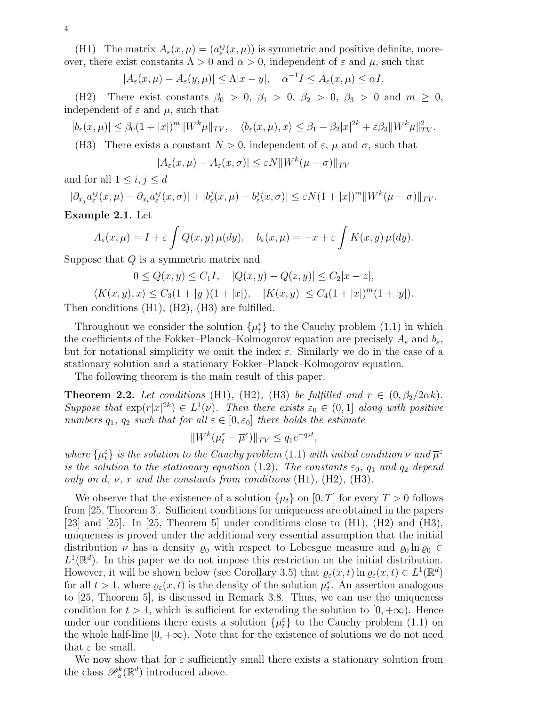(H1) The matrix  $A_\varepsilon(x,\mu) = (a_\varepsilon^{ij}(x,\mu))$  is symmetric and positive definite, moreover, there exist constants  $\Lambda > 0$  and  $\alpha > 0$ , independent of  $\varepsilon$  and  $\mu$ , such that

$$
|A_{\varepsilon}(x,\mu) - A_{\varepsilon}(y,\mu)| \le \Lambda |x-y|, \quad \alpha^{-1}I \le A_{\varepsilon}(x,\mu) \le \alpha I.
$$

(H2) There exist constants  $\beta_0 > 0$ ,  $\beta_1 > 0$ ,  $\beta_2 > 0$ ,  $\beta_3 > 0$  and  $m \ge 0$ , independent of  $\varepsilon$  and  $\mu$ , such that

$$
|b_{\varepsilon}(x,\mu)| \leq \beta_0 (1+|x|)^m \|W^k\mu\|_{TV}, \quad \langle b_{\varepsilon}(x,\mu), x \rangle \leq \beta_1 - \beta_2 |x|^{2k} + \varepsilon \beta_3 \|W^k\mu\|_{TV}^2.
$$

(H3) There exists a constant  $N > 0$ , independent of  $\varepsilon$ ,  $\mu$  and  $\sigma$ , such that

$$
|A_{\varepsilon}(x,\mu) - A_{\varepsilon}(x,\sigma)| \leq \varepsilon N ||W^k(\mu - \sigma)||_{TV}
$$

and for all  $1 \leq i, j \leq d$ 

$$
|\partial_{x_j} a^{ij}_{\varepsilon}(x,\mu) - \partial_{x_i} a^{ij}_{\varepsilon}(x,\sigma)| + |b^{j}_{\varepsilon}(x,\mu) - b^{j}_{\varepsilon}(x,\sigma)| \leq \varepsilon N(1+|x|)^{m} \|W^{k}(\mu-\sigma)\|_{TV}.
$$

Example 2.1. Let

$$
A_{\varepsilon}(x,\mu) = I + \varepsilon \int Q(x,y) \,\mu(dy), \quad b_{\varepsilon}(x,\mu) = -x + \varepsilon \int K(x,y) \,\mu(dy).
$$

Suppose that Q is a symmetric matrix and

$$
0 \le Q(x, y) \le C_1 I, \quad |Q(x, y) - Q(z, y)| \le C_2 |x - z|,
$$

$$
\langle K(x,y), x \rangle \le C_3(1+|y|)(1+|x|), \quad |K(x,y)| \le C_4(1+|x|)^m(1+|y|).
$$

Then conditions (H1), (H2), (H3) are fulfilled.

Throughout we consider the solution  $\{\mu_t^{\varepsilon}\}\)$  to the Cauchy problem (1.1) in which the coefficients of the Fokker–Planck–Kolmogorov equation are precisely  $A_{\varepsilon}$  and  $b_{\varepsilon}$ , but for notational simplicity we omit the index  $\varepsilon$ . Similarly we do in the case of a stationary solution and a stationary Fokker–Planck–Kolmogorov equation.

The following theorem is the main result of this paper.

**Theorem 2.2.** Let conditions (H1), (H2), (H3) be fulfilled and  $r \in (0, \beta_2/2\alpha k)$ . Suppose that  $\exp(r|x|^{2k}) \in L^1(\nu)$ . Then there exists  $\varepsilon_0 \in (0,1]$  along with positive numbers  $q_1$ ,  $q_2$  such that for all  $\varepsilon \in [0, \varepsilon_0]$  there holds the estimate

$$
||W^k(\mu_t^{\varepsilon} - \overline{\mu}^{\varepsilon})||_{TV} \le q_1 e^{-q_2 t},
$$

where  $\{\mu_t^{\varepsilon}\}\$ is the solution to the Cauchy problem (1.1) with initial condition  $\nu$  and  $\overline{\mu}^{\varepsilon}$ is the solution to the stationary equation (1.2). The constants  $\varepsilon_0$ ,  $q_1$  and  $q_2$  depend only on d,  $\nu$ , r and the constants from conditions (H1), (H2), (H3).

We observe that the existence of a solution  $\{\mu_t\}$  on  $[0, T]$  for every  $T > 0$  follows from [25, Theorem 3]. Sufficient conditions for uniqueness are obtained in the papers [23] and [25]. In [25, Theorem 5] under conditions close to  $(H1)$ ,  $(H2)$  and  $(H3)$ , uniqueness is proved under the additional very essential assumption that the initial distribution  $\nu$  has a density  $\varrho_0$  with respect to Lebesgue measure and  $\varrho_0 \ln \varrho_0 \in$  $L^1(\mathbb{R}^d)$ . In this paper we do not impose this restriction on the initial distribution. However, it will be shown below (see Corollary 3.5) that  $\varrho_{\varepsilon}(x,t) \ln \varrho_{\varepsilon}(x,t) \in L^{1}(\mathbb{R}^{d})$ for all  $t > 1$ , where  $\varrho_{\varepsilon}(x, t)$  is the density of the solution  $\mu_t^{\varepsilon}$ . An assertion analogous to [25, Theorem 5], is discussed in Remark 3.8. Thus, we can use the uniqueness condition for  $t > 1$ , which is sufficient for extending the solution to  $[0, +\infty)$ . Hence under our conditions there exists a solution  $\{\mu_t^{\varepsilon}\}\;$  to the Cauchy problem (1.1) on the whole half-line  $[0, +\infty)$ . Note that for the existence of solutions we do not need that  $\varepsilon$  be small.

We now show that for  $\varepsilon$  sufficiently small there exists a stationary solution from the class  $\mathscr{P}_a^k(\mathbb{R}^d)$  introduced above.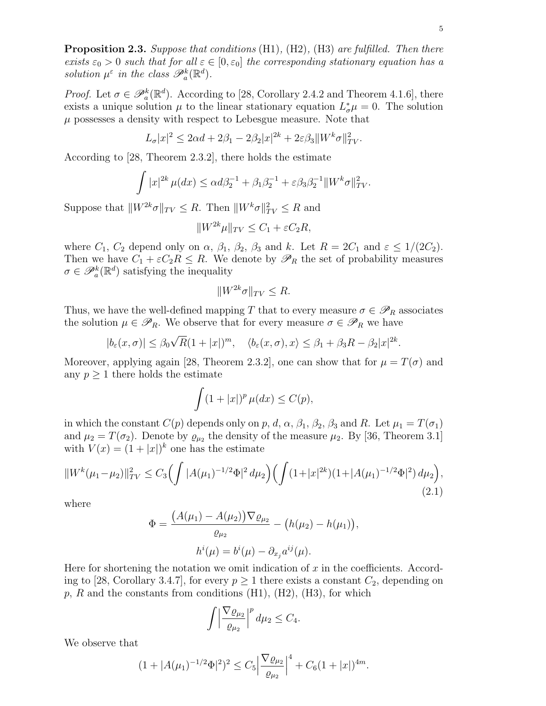**Proposition 2.3.** Suppose that conditions  $(H1)$ ,  $(H2)$ ,  $(H3)$  are fulfilled. Then there exists  $\varepsilon_0 > 0$  such that for all  $\varepsilon \in [0, \varepsilon_0]$  the corresponding stationary equation has a solution  $\mu^{\varepsilon}$  in the class  $\mathscr{P}_a^k(\mathbb{R}^d)$ .

*Proof.* Let  $\sigma \in \mathscr{P}_a^k(\mathbb{R}^d)$ . According to [28, Corollary 2.4.2 and Theorem 4.1.6], there exists a unique solution  $\mu$  to the linear stationary equation  $L^*_{\sigma}\mu = 0$ . The solution  $\mu$  possesses a density with respect to Lebesgue measure. Note that

$$
L_{\sigma}|x|^2 \le 2\alpha d + 2\beta_1 - 2\beta_2|x|^{2k} + 2\varepsilon\beta_3 \|W^k\sigma\|_{TV}^2.
$$

According to [28, Theorem 2.3.2], there holds the estimate

$$
\int |x|^{2k} \mu(dx) \le \alpha d\beta_2^{-1} + \beta_1 \beta_2^{-1} + \varepsilon \beta_3 \beta_2^{-1} ||W^k \sigma||_{TV}^2.
$$

Suppose that  $||W^{2k}\sigma||_{TV} \leq R$ . Then  $||W^k\sigma||_{TV}^2 \leq R$  and

 $\|W^{2k}\mu\|_{TV} \leq C_1 + \varepsilon C_2 R,$ 

where  $C_1$ ,  $C_2$  depend only on  $\alpha$ ,  $\beta_1$ ,  $\beta_2$ ,  $\beta_3$  and k. Let  $R = 2C_1$  and  $\varepsilon \leq 1/(2C_2)$ . Then we have  $C_1 + \varepsilon C_2 R \leq R$ . We denote by  $\mathscr{P}_R$  the set of probability measures  $\sigma \in \mathscr{P}_a^k(\mathbb{R}^d)$  satisfying the inequality

$$
||W^{2k}\sigma||_{TV} \le R.
$$

Thus, we have the well-defined mapping T that to every measure  $\sigma \in \mathscr{P}_R$  associates the solution  $\mu \in \mathscr{P}_R$ . We observe that for every measure  $\sigma \in \mathscr{P}_R$  we have

$$
|b_{\varepsilon}(x,\sigma)| \leq \beta_0 \sqrt{R} (1+|x|)^m, \quad \langle b_{\varepsilon}(x,\sigma), x \rangle \leq \beta_1 + \beta_3 R - \beta_2 |x|^{2k}.
$$

Moreover, applying again [28, Theorem 2.3.2], one can show that for  $\mu = T(\sigma)$  and any  $p \geq 1$  there holds the estimate

$$
\int (1+|x|)^p \,\mu(dx) \le C(p),
$$

in which the constant  $C(p)$  depends only on p, d,  $\alpha$ ,  $\beta_1$ ,  $\beta_2$ ,  $\beta_3$  and R. Let  $\mu_1 = T(\sigma_1)$ and  $\mu_2 = T(\sigma_2)$ . Denote by  $\varrho_{\mu_2}$  the density of the measure  $\mu_2$ . By [36, Theorem 3.1] with  $V(x) = (1 + |x|)^k$  one has the estimate

$$
||W^{k}(\mu_1 - \mu_2)||_{TV}^2 \le C_3 \Big(\int |A(\mu_1)^{-1/2}\Phi|^2 d\mu_2\Big) \Big(\int (1+|x|^{2k})(1+|A(\mu_1)^{-1/2}\Phi|^2) d\mu_2\Big),\tag{2.1}
$$

where

$$
\Phi = \frac{(A(\mu_1) - A(\mu_2))\nabla \varrho_{\mu_2}}{\varrho_{\mu_2}} - (h(\mu_2) - h(\mu_1)),
$$

$$
h^i(\mu) = b^i(\mu) - \partial_{x_j} a^{ij}(\mu).
$$

Here for shortening the notation we omit indication of  $x$  in the coefficients. According to [28, Corollary 3.4.7], for every  $p \ge 1$  there exists a constant  $C_2$ , depending on  $p, R$  and the constants from conditions  $(H1), (H2), (H3)$ , for which

$$
\int \left| \frac{\nabla \varrho_{\mu_2}}{\varrho_{\mu_2}} \right|^p d\mu_2 \leq C_4.
$$

We observe that

$$
(1+|A(\mu_1)^{-1/2}\Phi|^2)^2 \leq C_5 \Big|\frac{\nabla \varrho_{\mu_2}}{\varrho_{\mu_2}}\Big|^4 + C_6(1+|x|)^{4m}.
$$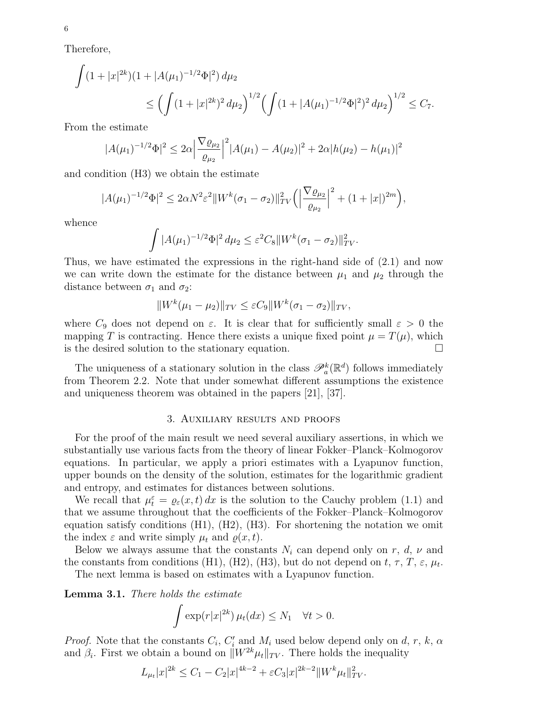Therefore,

$$
\int (1+|x|^{2k})(1+|A(\mu_1)^{-1/2}\Phi|^2) d\mu_2
$$
  
\n
$$
\leq \left(\int (1+|x|^{2k})^2 d\mu_2\right)^{1/2} \left(\int (1+|A(\mu_1)^{-1/2}\Phi|^2)^2 d\mu_2\right)^{1/2} \leq C_7.
$$

From the estimate

$$
|A(\mu_1)^{-1/2}\Phi|^2 \leq 2\alpha \left|\frac{\nabla \varrho_{\mu_2}}{\varrho_{\mu_2}}\right|^2 |A(\mu_1) - A(\mu_2)|^2 + 2\alpha |h(\mu_2) - h(\mu_1)|^2
$$

and condition (H3) we obtain the estimate

$$
|A(\mu_1)^{-1/2}\Phi|^2 \le 2\alpha N^2 \varepsilon^2 \|W^k(\sigma_1 - \sigma_2)\|_{TV}^2 \left(\left|\frac{\nabla \varrho_{\mu_2}}{\varrho_{\mu_2}}\right|^2 + (1+|x|)^{2m}\right),
$$

whence

$$
\int |A(\mu_1)^{-1/2} \Phi|^2 d\mu_2 \leq \varepsilon^2 C_8 \|W^k(\sigma_1 - \sigma_2)\|_{TV}^2.
$$

Thus, we have estimated the expressions in the right-hand side of (2.1) and now we can write down the estimate for the distance between  $\mu_1$  and  $\mu_2$  through the distance between  $\sigma_1$  and  $\sigma_2$ :

$$
||W^{k}(\mu_1 - \mu_2)||_{TV} \le \varepsilon C_9 ||W^{k}(\sigma_1 - \sigma_2)||_{TV},
$$

where  $C_9$  does not depend on  $\varepsilon$ . It is clear that for sufficiently small  $\varepsilon > 0$  the mapping T is contracting. Hence there exists a unique fixed point  $\mu = T(\mu)$ , which is the desired solution to the stationary equation.

The uniqueness of a stationary solution in the class  $\mathscr{P}_a^k(\mathbb{R}^d)$  follows immediately from Theorem 2.2. Note that under somewhat different assumptions the existence and uniqueness theorem was obtained in the papers [21], [37].

#### 3. Auxiliary results and proofs

For the proof of the main result we need several auxiliary assertions, in which we substantially use various facts from the theory of linear Fokker–Planck–Kolmogorov equations. In particular, we apply a priori estimates with a Lyapunov function, upper bounds on the density of the solution, estimates for the logarithmic gradient and entropy, and estimates for distances between solutions.

We recall that  $\mu_t^{\varepsilon} = \varrho_{\varepsilon}(x, t) dx$  is the solution to the Cauchy problem (1.1) and that we assume throughout that the coefficients of the Fokker–Planck–Kolmogorov equation satisfy conditions (H1), (H2), (H3). For shortening the notation we omit the index  $\varepsilon$  and write simply  $\mu_t$  and  $\rho(x, t)$ .

Below we always assume that the constants  $N_i$  can depend only on r, d,  $\nu$  and the constants from conditions (H1), (H2), (H3), but do not depend on  $t, \tau, T, \varepsilon, \mu_t$ .

The next lemma is based on estimates with a Lyapunov function.

Lemma 3.1. There holds the estimate

$$
\int \exp(r|x|^{2k}) \,\mu_t(dx) \le N_1 \quad \forall t > 0.
$$

*Proof.* Note that the constants  $C_i$ ,  $C'_i$  and  $M_i$  used below depend only on d, r, k,  $\alpha$ and  $\beta_i$ . First we obtain a bound on  $||W^{2k}\mu_t||_{TV}$ . There holds the inequality

$$
L_{\mu_t}|x|^{2k} \le C_1 - C_2|x|^{4k-2} + \varepsilon C_3|x|^{2k-2}||W^k\mu_t||_{TV}^2.
$$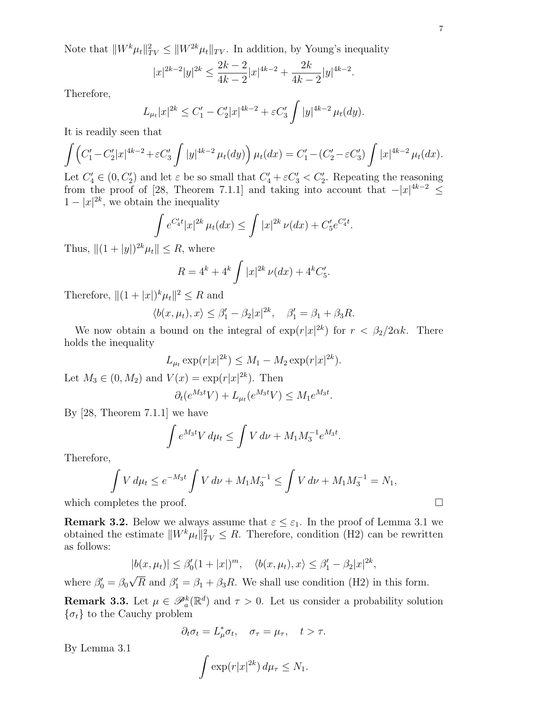Note that  $||W^k\mu_t||_{TV}^2 \le ||W^{2k}\mu_t||_{TV}$ . In addition, by Young's inequality

$$
|x|^{2k-2}|y|^{2k} \le \frac{2k-2}{4k-2}|x|^{4k-2} + \frac{2k}{4k-2}|y|^{4k-2}.
$$

Therefore,

$$
L_{\mu_t}|x|^{2k} \le C_1' - C_2'|x|^{4k-2} + \varepsilon C_3' \int |y|^{4k-2} \mu_t(dy).
$$

It is readily seen that

$$
\int \left( C_1' - C_2' |x|^{4k-2} + \varepsilon C_3' \int |y|^{4k-2} \mu_t(dy) \right) \mu_t(dx) = C_1' - (C_2' - \varepsilon C_3') \int |x|^{4k-2} \mu_t(dx).
$$

Let  $C_4' \in (0, C_2')$  and let  $\varepsilon$  be so small that  $C_4' + \varepsilon C_3' < C_2'$ . Repeating the reasoning from the proof of [28, Theorem 7.1.1] and taking into account that  $-|x|^{4k-2} \le$  $1-|x|^{2k}$ , we obtain the inequality

$$
\int e^{C_4't}|x|^{2k}\,\mu_t(dx) \le \int |x|^{2k}\,\nu(dx) + C_5'e^{C_4't}.
$$

Thus,  $||(1 + |y|)^{2k}\mu_t|| \leq R$ , where

$$
R = 4^k + 4^k \int |x|^{2k} \nu(dx) + 4^k C_5'
$$

.

Therefore,  $||(1 + |x|)^k \mu_t||^2 \leq R$  and

$$
\langle b(x, \mu_t), x \rangle \le \beta_1' - \beta_2 |x|^{2k}, \quad \beta_1' = \beta_1 + \beta_3 R.
$$

We now obtain a bound on the integral of  $\exp(r|x|^{2k})$  for  $r < \beta_2/2\alpha k$ . There holds the inequality

$$
L_{\mu_t} \exp(r|x|^{2k}) \le M_1 - M_2 \exp(r|x|^{2k}).
$$

Let  $M_3 \in (0, M_2)$  and  $V(x) = \exp(r|x|^{2k})$ . Then

$$
\partial_t(e^{M_3t}V) + L_{\mu_t}(e^{M_3t}V) \le M_1 e^{M_3t}.
$$

By [28, Theorem 7.1.1] we have

$$
\int e^{M_3 t} V \, d\mu_t \le \int V \, d\nu + M_1 M_3^{-1} e^{M_3 t}.
$$

Therefore,

$$
\int V d\mu_t \le e^{-M_3 t} \int V d\nu + M_1 M_3^{-1} \le \int V d\nu + M_1 M_3^{-1} = N_1,
$$
  
which completes the proof.

**Remark 3.2.** Below we always assume that  $\varepsilon \leq \varepsilon_1$ . In the proof of Lemma 3.1 we obtained the estimate  $||W^k \mu_t||_{TV}^2 \leq R$ . Therefore, condition (H2) can be rewritten as follows:

$$
|b(x, \mu_t)| \leq \beta_0'(1+|x|)^m, \quad \langle b(x, \mu_t), x \rangle \leq \beta_1' - \beta_2 |x|^{2k},
$$

where  $\beta'_0 = \beta_0$  $\overline{R}$  and  $\beta_1' = \beta_1 + \beta_3 R$ . We shall use condition (H2) in this form.

**Remark 3.3.** Let  $\mu \in \mathscr{P}_a^k(\mathbb{R}^d)$  and  $\tau > 0$ . Let us consider a probability solution  $\{\sigma_t\}$  to the Cauchy problem

$$
\partial_t \sigma_t = L^*_{\mu} \sigma_t, \quad \sigma_{\tau} = \mu_{\tau}, \quad t > \tau.
$$

By Lemma 3.1

$$
\int \exp(r|x|^{2k})\,d\mu_{\tau}\leq N_1.
$$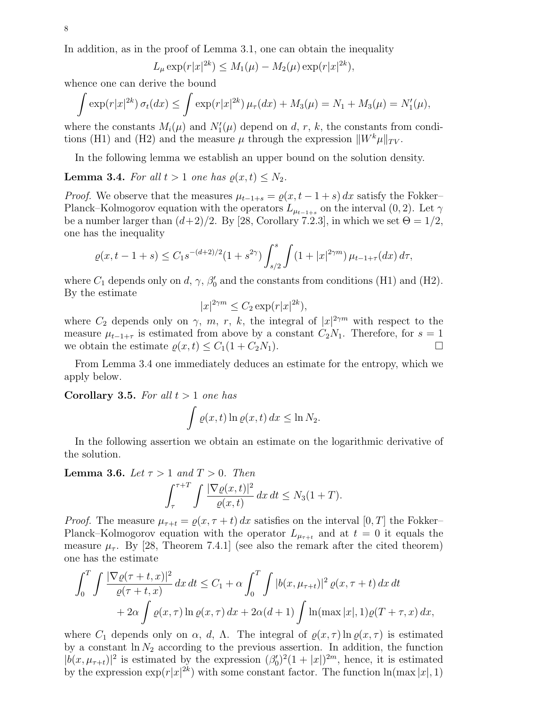In addition, as in the proof of Lemma 3.1, one can obtain the inequality

$$
L_{\mu} \exp(r|x|^{2k}) \le M_1(\mu) - M_2(\mu) \exp(r|x|^{2k}),
$$

whence one can derive the bound

$$
\int \exp(r|x|^{2k}) \,\sigma_t(dx) \le \int \exp(r|x|^{2k}) \,\mu_\tau(dx) + M_3(\mu) = N_1 + M_3(\mu) = N'_1(\mu),
$$

where the constants  $M_i(\mu)$  and  $N'_1(\mu)$  depend on d, r, k, the constants from conditions (H1) and (H2) and the measure  $\mu$  through the expression  $||W^k\mu||_{TV}$ .

In the following lemma we establish an upper bound on the solution density.

**Lemma 3.4.** For all  $t > 1$  one has  $\rho(x, t) \leq N_2$ .

*Proof.* We observe that the measures  $\mu_{t-1+s} = \varrho(x, t-1+s) dx$  satisfy the Fokker– Planck–Kolmogorov equation with the operators  $L_{\mu_{t-1+s}}$  on the interval  $(0, 2)$ . Let  $\gamma$ be a number larger than  $(d+2)/2$ . By [28, Corollary 7.2.3], in which we set  $\Theta = 1/2$ , one has the inequality

$$
\varrho(x,t-1+s) \le C_1 s^{-(d+2)/2} (1+s^{2\gamma}) \int_{s/2}^s \int (1+|x|^{2\gamma m}) \,\mu_{t-1+\tau}(dx) \,d\tau,
$$

where  $C_1$  depends only on d,  $\gamma$ ,  $\beta'_0$  and the constants from conditions (H1) and (H2). By the estimate

$$
|x|^{2\gamma m} \le C_2 \exp(r|x|^{2k}),
$$

where  $C_2$  depends only on  $\gamma$ , m, r, k, the integral of  $|x|^{2\gamma m}$  with respect to the measure  $\mu_{t-1+\tau}$  is estimated from above by a constant  $C_2N_1$ . Therefore, for  $s=1$ we obtain the estimate  $\rho(x, t) \leq C_1(1 + C_2N_1)$ .

From Lemma 3.4 one immediately deduces an estimate for the entropy, which we apply below.

Corollary 3.5. For all  $t > 1$  one has

$$
\int \varrho(x,t) \ln \varrho(x,t) \, dx \leq \ln N_2.
$$

In the following assertion we obtain an estimate on the logarithmic derivative of the solution.

**Lemma 3.6.** Let  $\tau > 1$  and  $T > 0$ . Then

$$
\int_{\tau}^{\tau+T} \int \frac{|\nabla \varrho(x,t)|^2}{\varrho(x,t)} \, dx \, dt \le N_3(1+T).
$$

*Proof.* The measure  $\mu_{\tau+t} = \varrho(x, \tau+t) dx$  satisfies on the interval [0, T] the Fokker– Planck–Kolmogorov equation with the operator  $L_{\mu_{\tau+t}}$  and at  $t=0$  it equals the measure  $\mu_{\tau}$ . By [28, Theorem 7.4.1] (see also the remark after the cited theorem) one has the estimate

$$
\int_0^T \int \frac{|\nabla \varrho(\tau+t,x)|^2}{\varrho(\tau+t,x)} dx dt \le C_1 + \alpha \int_0^T \int |b(x,\mu_{\tau+t})|^2 \varrho(x,\tau+t) dx dt
$$
  
+  $2\alpha \int \varrho(x,\tau) \ln \varrho(x,\tau) dx + 2\alpha(d+1) \int \ln(\max|x|,1) \varrho(T+\tau,x) dx,$ 

where  $C_1$  depends only on  $\alpha$ , d,  $\Lambda$ . The integral of  $\varrho(x, \tau)$  ln  $\varrho(x, \tau)$  is estimated by a constant  $\ln N_2$  according to the previous assertion. In addition, the function  $|b(x, \mu_{\tau+t})|^2$  is estimated by the expression  $(\beta_0')^2(1+|x|)^{2m}$ , hence, it is estimated by the expression  $\exp(r|x|^{2k})$  with some constant factor. The function  $\ln(\max|x|, 1)$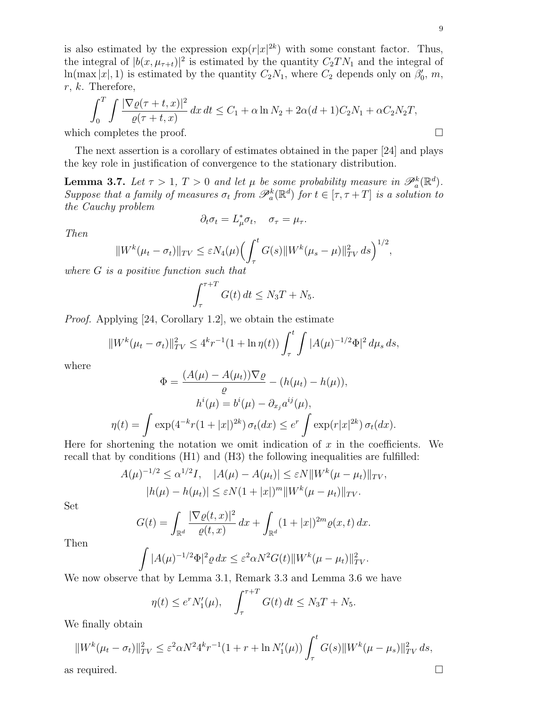is also estimated by the expression  $\exp(r|x|^{2k})$  with some constant factor. Thus, the integral of  $|b(x, \mu_{\tau+t})|^2$  is estimated by the quantity  $C_2TN_1$  and the integral of  $\ln(\max |x|, 1)$  is estimated by the quantity  $C_2N_1$ , where  $C_2$  depends only on  $\beta'_0$ ,  $m$ ,  $r, k.$  Therefore,

$$
\int_0^T \int \frac{|\nabla \varrho(\tau + t, x)|^2}{\varrho(\tau + t, x)} dx dt \le C_1 + \alpha \ln N_2 + 2\alpha (d + 1)C_2 N_1 + \alpha C_2 N_2 T,
$$
  
which completes the proof.

The next assertion is a corollary of estimates obtained in the paper [24] and plays the key role in justification of convergence to the stationary distribution.

**Lemma 3.7.** Let  $\tau > 1$ ,  $T > 0$  and let  $\mu$  be some probability measure in  $\mathscr{P}_a^k(\mathbb{R}^d)$ . Suppose that a family of measures  $\sigma_t$  from  $\mathscr{P}_a^k(\mathbb{R}^d)$  for  $t \in [\tau, \tau + T]$  is a solution to the Cauchy problem

$$
\partial_t \sigma_t = L^*_{\mu} \sigma_t, \quad \sigma_{\tau} = \mu_{\tau}.
$$

Then

$$
||W^{k}(\mu_{t} - \sigma_{t})||_{TV} \leq \varepsilon N_{4}(\mu) \Big(\int_{\tau}^{t} G(s) ||W^{k}(\mu_{s} - \mu)||_{TV}^{2} ds\Big)^{1/2},
$$

where G is a positive function such that

$$
\int_{\tau}^{\tau+T} G(t) dt \leq N_3 T + N_5.
$$

Proof. Applying [24, Corollary 1.2], we obtain the estimate

$$
||W^{k}(\mu_t - \sigma_t)||_{TV}^2 \le 4^k r^{-1} (1 + \ln \eta(t)) \int_{\tau}^t \int |A(\mu)^{-1/2} \Phi|^2 d\mu_s ds,
$$

where

$$
\Phi = \frac{(A(\mu) - A(\mu_t))\nabla \varrho}{\varrho} - (h(\mu_t) - h(\mu)),
$$

$$
h^i(\mu) = b^i(\mu) - \partial_{x_j} a^{ij}(\mu),
$$

$$
\eta(t) = \int \exp(4^{-k}r(1+|x|)^{2k}) \sigma_t(dx) \le e^r \int \exp(r|x|^{2k}) \sigma_t(dx).
$$

Here for shortening the notation we omit indication of  $x$  in the coefficients. We recall that by conditions (H1) and (H3) the following inequalities are fulfilled:

$$
A(\mu)^{-1/2} \le \alpha^{1/2} I, \quad |A(\mu) - A(\mu_t)| \le \varepsilon N ||W^k(\mu - \mu_t)||_{TV},
$$
  

$$
|h(\mu) - h(\mu_t)| \le \varepsilon N (1 + |x|)^m ||W^k(\mu - \mu_t)||_{TV}.
$$

Set

$$
G(t) = \int_{\mathbb{R}^d} \frac{|\nabla \varrho(t, x)|^2}{\varrho(t, x)} dx + \int_{\mathbb{R}^d} (1 + |x|)^{2m} \varrho(x, t) dx.
$$

Then

$$
\int |A(\mu)^{-1/2}\Phi|^2 \varrho dx \leq \varepsilon^2 \alpha N^2 G(t) \|W^k(\mu - \mu_t)\|_{TV}^2.
$$

We now observe that by Lemma 3.1, Remark 3.3 and Lemma 3.6 we have

$$
\eta(t) \leq e^r N_1'(\mu), \quad \int_{\tau}^{\tau+T} G(t) dt \leq N_3 T + N_5.
$$

We finally obtain

$$
||W^{k}(\mu_{t} - \sigma_{t})||_{TV}^{2} \leq \varepsilon^{2} \alpha N^{2} 4^{k} r^{-1} (1 + r + \ln N_{1}'(\mu)) \int_{\tau}^{t} G(s) ||W^{k}(\mu - \mu_{s})||_{TV}^{2} ds,
$$
  
as required.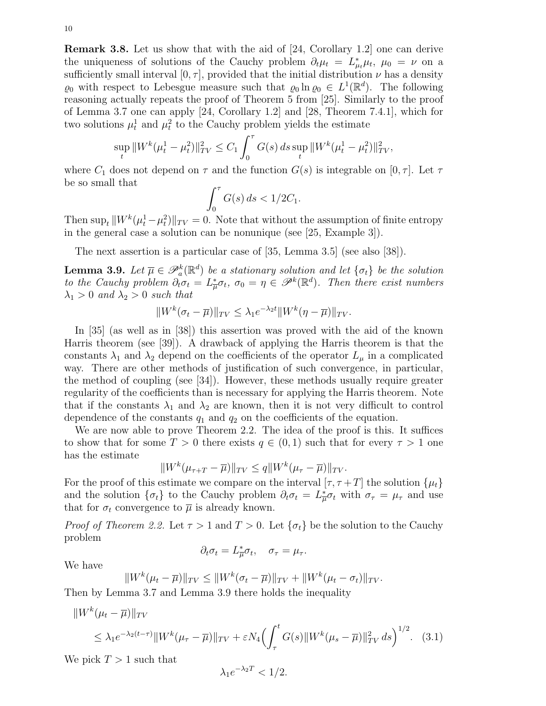Remark 3.8. Let us show that with the aid of [24, Corollary 1.2] one can derive the uniqueness of solutions of the Cauchy problem  $\partial_t \mu_t = L^*_{\mu_t} \mu_t$ ,  $\mu_0 = \nu$  on a sufficiently small interval  $[0, \tau]$ , provided that the initial distribution  $\nu$  has a density  $\varrho_0$  with respect to Lebesgue measure such that  $\varrho_0 \ln \varrho_0 \in L^1(\mathbb{R}^d)$ . The following reasoning actually repeats the proof of Theorem 5 from [25]. Similarly to the proof of Lemma 3.7 one can apply [24, Corollary 1.2] and [28, Theorem 7.4.1], which for two solutions  $\mu_t^1$  and  $\mu_t^2$  to the Cauchy problem yields the estimate

$$
\sup_{t} \|W^{k}(\mu_{t}^{1} - \mu_{t}^{2})\|_{TV}^{2} \leq C_{1} \int_{0}^{\tau} G(s) \, ds \sup_{t} \|W^{k}(\mu_{t}^{1} - \mu_{t}^{2})\|_{TV}^{2},
$$

where  $C_1$  does not depend on  $\tau$  and the function  $G(s)$  is integrable on  $[0, \tau]$ . Let  $\tau$ be so small that

$$
\int_0^\tau G(s)\,ds < 1/2C_1.
$$

Then  $\sup_t ||W^k(\mu_t^1 - \mu_t^2)||_{TV} = 0$ . Note that without the assumption of finite entropy in the general case a solution can be nonunique (see [25, Example 3]).

The next assertion is a particular case of [35, Lemma 3.5] (see also [38]).

**Lemma 3.9.** Let  $\overline{\mu} \in \mathscr{P}_a^k(\mathbb{R}^d)$  be a stationary solution and let  $\{\sigma_t\}$  be the solution to the Cauchy problem  $\partial_t \sigma_t = L^*_{\overline{\mu}} \sigma_t$ ,  $\sigma_0 = \eta \in \mathscr{P}^k(\mathbb{R}^d)$ . Then there exist numbers  $\lambda_1 > 0$  and  $\lambda_2 > 0$  such that

$$
||W^{k}(\sigma_t - \overline{\mu})||_{TV} \leq \lambda_1 e^{-\lambda_2 t} ||W^{k}(\eta - \overline{\mu})||_{TV}.
$$

In [35] (as well as in [38]) this assertion was proved with the aid of the known Harris theorem (see [39]). A drawback of applying the Harris theorem is that the constants  $\lambda_1$  and  $\lambda_2$  depend on the coefficients of the operator  $L_\mu$  in a complicated way. There are other methods of justification of such convergence, in particular, the method of coupling (see  $|34|$ ). However, these methods usually require greater regularity of the coefficients than is necessary for applying the Harris theorem. Note that if the constants  $\lambda_1$  and  $\lambda_2$  are known, then it is not very difficult to control dependence of the constants  $q_1$  and  $q_2$  on the coefficients of the equation.

We are now able to prove Theorem 2.2. The idea of the proof is this. It suffices to show that for some  $T > 0$  there exists  $q \in (0,1)$  such that for every  $\tau > 1$  one has the estimate

$$
||W^k(\mu_{\tau+T}-\overline{\mu})||_{TV} \le q||W^k(\mu_{\tau}-\overline{\mu})||_{TV}.
$$

For the proof of this estimate we compare on the interval  $[\tau, \tau + T]$  the solution  $\{\mu_t\}$ and the solution  $\{\sigma_t\}$  to the Cauchy problem  $\partial_t \sigma_t = L^*_{\overline{\mu}} \sigma_t$  with  $\sigma_{\tau} = \mu_{\tau}$  and use that for  $\sigma_t$  convergence to  $\overline{\mu}$  is already known.

*Proof of Theorem 2.2.* Let  $\tau > 1$  and  $T > 0$ . Let  $\{\sigma_t\}$  be the solution to the Cauchy problem

$$
\partial_t \sigma_t = L^*_{\overline{\mu}} \sigma_t, \quad \sigma_\tau = \mu_\tau.
$$

We have

$$
||W^{k}(\mu_{t} - \overline{\mu})||_{TV} \le ||W^{k}(\sigma_{t} - \overline{\mu})||_{TV} + ||W^{k}(\mu_{t} - \sigma_{t})||_{TV}.
$$

Then by Lemma 3.7 and Lemma 3.9 there holds the inequality

$$
||W^{k}(\mu_{t} - \overline{\mu})||_{TV}
$$
  
\n
$$
\leq \lambda_{1} e^{-\lambda_{2}(t-\tau)} ||W^{k}(\mu_{\tau} - \overline{\mu})||_{TV} + \varepsilon N_{4} \Big(\int_{\tau}^{t} G(s) ||W^{k}(\mu_{s} - \overline{\mu})||_{TV}^{2} ds \Big)^{1/2}.
$$
 (3.1)

We pick  $T > 1$  such that

$$
\lambda_1 e^{-\lambda_2 T} < 1/2.
$$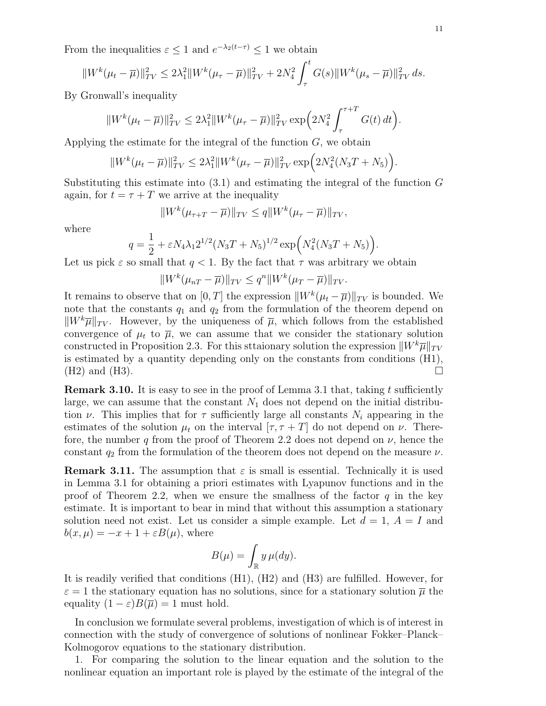From the inequalities  $\varepsilon \leq 1$  and  $e^{-\lambda_2(t-\tau)} \leq 1$  we obtain

$$
||W^{k}(\mu_{t}-\overline{\mu})||_{TV}^{2} \leq 2\lambda_{1}^{2}||W^{k}(\mu_{\tau}-\overline{\mu})||_{TV}^{2} + 2N_{4}^{2}\int_{\tau}^{t}G(s)||W^{k}(\mu_{s}-\overline{\mu})||_{TV}^{2} ds.
$$

By Gronwall's inequality

$$
||W^{k}(\mu_t - \overline{\mu})||_{TV}^2 \le 2\lambda_1^2 ||W^{k}(\mu_\tau - \overline{\mu})||_{TV}^2 \exp\left(2N_4^2 \int_{\tau}^{\tau+T} G(t) dt\right).
$$

Applying the estimate for the integral of the function  $G$ , we obtain

$$
||W^{k}(\mu_t - \overline{\mu})||_{TV}^2 \le 2\lambda_1^2 ||W^{k}(\mu_\tau - \overline{\mu})||_{TV}^2 \exp\Big(2N_4^2(N_3T + N_5)\Big).
$$

Substituting this estimate into  $(3.1)$  and estimating the integral of the function G again, for  $t = \tau + T$  we arrive at the inequality

$$
||W^k(\mu_{\tau+T}-\overline{\mu})||_{TV} \leq q||W^k(\mu_{\tau}-\overline{\mu})||_{TV},
$$

where

$$
q = \frac{1}{2} + \varepsilon N_4 \lambda_1 2^{1/2} (N_3 T + N_5)^{1/2} \exp\left(N_4^2 (N_3 T + N_5)\right).
$$

Let us pick  $\varepsilon$  so small that  $q < 1$ . By the fact that  $\tau$  was arbitrary we obtain

$$
||W^k(\mu_{nT}-\overline{\mu})||_{TV}\leq q^n||W^k(\mu_T-\overline{\mu})||_{TV}.
$$

It remains to observe that on  $[0, T]$  the expression  $||W^k(\mu_t - \overline{\mu})||_{TV}$  is bounded. We note that the constants  $q_1$  and  $q_2$  from the formulation of the theorem depend on  $\|W^k\overline{\mu}\|_{TV}$ . However, by the uniqueness of  $\overline{\mu}$ , which follows from the established convergence of  $\mu_t$  to  $\overline{\mu}$ , we can assume that we consider the stationary solution constructed in Proposition 2.3. For this sttaionary solution the expression  $\|W^k\overline{\mu}\|_{TV}$ is estimated by a quantity depending only on the constants from conditions (H1),  $(H2)$  and  $(H3)$ .

**Remark 3.10.** It is easy to see in the proof of Lemma 3.1 that, taking t sufficiently large, we can assume that the constant  $N_1$  does not depend on the initial distribution  $\nu$ . This implies that for  $\tau$  sufficiently large all constants  $N_i$  appearing in the estimates of the solution  $\mu_t$  on the interval  $[\tau, \tau + T]$  do not depend on  $\nu$ . Therefore, the number q from the proof of Theorem 2.2 does not depend on  $\nu$ , hence the constant  $q_2$  from the formulation of the theorem does not depend on the measure  $\nu$ .

**Remark 3.11.** The assumption that  $\varepsilon$  is small is essential. Technically it is used in Lemma 3.1 for obtaining a priori estimates with Lyapunov functions and in the proof of Theorem 2.2, when we ensure the smallness of the factor  $q$  in the key estimate. It is important to bear in mind that without this assumption a stationary solution need not exist. Let us consider a simple example. Let  $d = 1, A = I$  and  $b(x, \mu) = -x + 1 + \varepsilon B(\mu)$ , where

$$
B(\mu) = \int_{\mathbb{R}} y \,\mu(dy).
$$

It is readily verified that conditions (H1), (H2) and (H3) are fulfilled. However, for  $\varepsilon = 1$  the stationary equation has no solutions, since for a stationary solution  $\overline{\mu}$  the equality  $(1 - \varepsilon)B(\overline{\mu}) = 1$  must hold.

In conclusion we formulate several problems, investigation of which is of interest in connection with the study of convergence of solutions of nonlinear Fokker–Planck– Kolmogorov equations to the stationary distribution.

1. For comparing the solution to the linear equation and the solution to the nonlinear equation an important role is played by the estimate of the integral of the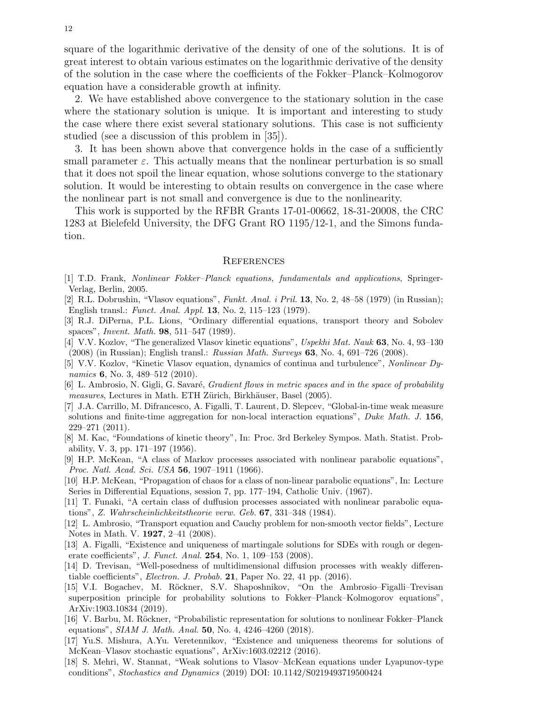square of the logarithmic derivative of the density of one of the solutions. It is of great interest to obtain various estimates on the logarithmic derivative of the density of the solution in the case where the coefficients of the Fokker–Planck–Kolmogorov equation have a considerable growth at infinity.

2. We have established above convergence to the stationary solution in the case where the stationary solution is unique. It is important and interesting to study the case where there exist several stationary solutions. This case is not sufficienty studied (see a discussion of this problem in [35]).

3. It has been shown above that convergence holds in the case of a sufficiently small parameter  $\varepsilon$ . This actually means that the nonlinear perturbation is so small that it does not spoil the linear equation, whose solutions converge to the stationary solution. It would be interesting to obtain results on convergence in the case where the nonlinear part is not small and convergence is due to the nonlinearity.

This work is supported by the RFBR Grants 17-01-00662, 18-31-20008, the CRC 1283 at Bielefeld University, the DFG Grant RO 1195/12-1, and the Simons fundation.

#### **REFERENCES**

- [1] T.D. Frank, Nonlinear Fokker–Planck equations, fundamentals and applications, Springer-Verlag, Berlin, 2005.
- [2] R.L. Dobrushin, "Vlasov equations", Funkt. Anal. i Pril. 13, No. 2, 48–58 (1979) (in Russian); English transl.: Funct. Anal. Appl. 13, No. 2, 115–123 (1979).
- [3] R.J. DiPerna, P.L. Lions, "Ordinary differential equations, transport theory and Sobolev spaces", Invent. Math. 98, 511–547 (1989).
- [4] V.V. Kozlov, "The generalized Vlasov kinetic equations", Uspekhi Mat. Nauk 63, No. 4, 93–130 (2008) (in Russian); English transl.: Russian Math. Surveys 63, No. 4, 691–726 (2008).
- [5] V.V. Kozlov, "Kinetic Vlasov equation, dynamics of continua and turbulence", Nonlinear Dynamics **6**, No. 3, 489–512 (2010).
- [6] L. Ambrosio, N. Gigli, G. Savaré, *Gradient flows in metric spaces and in the space of probability* measures, Lectures in Math. ETH Zürich, Birkhäuser, Basel (2005).
- [7] J.A. Carrillo, M. Difrancesco, A. Figalli, T. Laurent, D. Slepcev, "Global-in-time weak measure solutions and finite-time aggregation for non-local interaction equations", Duke Math. J. 156, 229–271 (2011).
- [8] M. Kac, "Foundations of kinetic theory", In: Proc. 3rd Berkeley Sympos. Math. Statist. Probability, V. 3, pp. 171–197 (1956).
- [9] H.P. McKean, "A class of Markov processes associated with nonlinear parabolic equations", Proc. Natl. Acad. Sci. USA 56, 1907–1911 (1966).
- [10] H.P. McKean, "Propagation of chaos for a class of non-linear parabolic equations", In: Lecture Series in Differential Equations, session 7, pp. 177–194, Catholic Univ. (1967).
- [11] T. Funaki, "A certain class of duffusion processes associated with nonlinear parabolic equations", Z. Wahrscheinlichkeitstheorie verw. Geb. 67, 331–348 (1984).
- [12] L. Ambrosio, "Transport equation and Cauchy problem for non-smooth vector fields", Lecture Notes in Math. V. 1927, 2–41 (2008).
- [13] A. Figalli, "Existence and uniqueness of martingale solutions for SDEs with rough or degenerate coefficients", J. Funct. Anal. 254, No. 1, 109–153 (2008).
- [14] D. Trevisan, "Well-posedness of multidimensional diffusion processes with weakly differentiable coefficients", Electron. J. Probab. 21, Paper No. 22, 41 pp. (2016).
- [15] V.I. Bogachev, M. Röckner, S.V. Shaposhnikov, "On the Ambrosio-Figalli-Trevisan superposition principle for probability solutions to Fokker–Planck–Kolmogorov equations", ArXiv:1903.10834 (2019).
- [16] V. Barbu, M. Röckner, "Probabilistic representation for solutions to nonlinear Fokker–Planck equations", SIAM J. Math. Anal. 50, No. 4, 4246–4260 (2018).
- [17] Yu.S. Mishura, A.Yu. Veretennikov, "Existence and uniqueness theorems for solutions of McKean–Vlasov stochastic equations", ArXiv:1603.02212 (2016).
- [18] S. Mehri, W. Stannat, "Weak solutions to Vlasov–McKean equations under Lyapunov-type conditions", Stochastics and Dynamics (2019) DOI: 10.1142/S0219493719500424